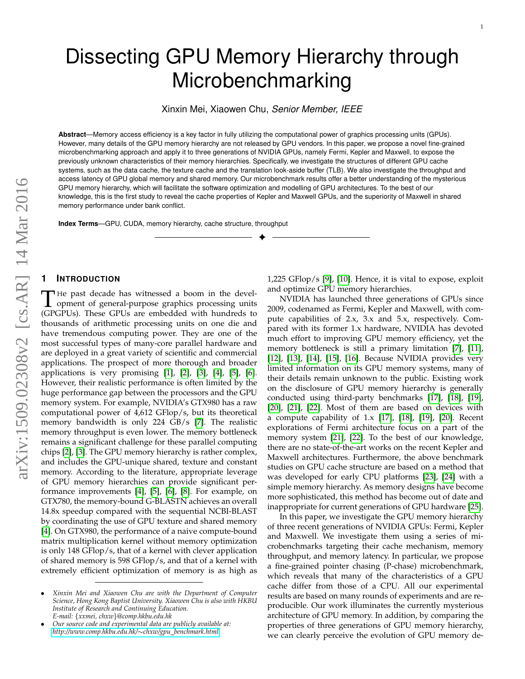Xinxin Mei, Xiaowen Chu, *Senior Member, IEEE*

Microbenchmarking

**Abstract**—Memory access efficiency is a key factor in fully utilizing the computational power of graphics processing units (GPUs). However, many details of the GPU memory hierarchy are not released by GPU vendors. In this paper, we propose a novel fine-grained microbenchmarking approach and apply it to three generations of NVIDIA GPUs, namely Fermi, Kepler and Maxwell, to expose the previously unknown characteristics of their memory hierarchies. Specifically, we investigate the structures of different GPU cache systems, such as the data cache, the texture cache and the translation look-aside buffer (TLB). We also investigate the throughput and access latency of GPU global memory and shared memory. Our microbenchmark results offer a better understanding of the mysterious GPU memory hierarchy, which will facilitate the software optimization and modelling of GPU architectures. To the best of our knowledge, this is the first study to reveal the cache properties of Kepler and Maxwell GPUs, and the superiority of Maxwell in shared memory performance under bank conflict.

✦

**Index Terms**—GPU, CUDA, memory hierarchy, cache structure, throughput

# arXiv:1509.02308v2 [cs.AR] 14 Mar 2016 arXiv:1509.02308v2 [cs.AR] 14 Mar 2016

# **1 INTRODUCTION**

The past decade has witnessed a boom in the development of general-purpose graphics processing units (GPGPUs). These GPUs are embedded with hundreds to He past decade has witnessed a boom in the development of general-purpose graphics processing units thousands of arithmetic processing units on one die and have tremendous computing power. They are one of the most successful types of many-core parallel hardware and are deployed in a great variety of scientific and commercial applications. The prospect of more thorough and broader applications is very promising  $[1]$ ,  $[2]$ ,  $[3]$ ,  $[4]$ ,  $[5]$ ,  $[6]$ . However, their realistic performance is often limited by the huge performance gap between the processors and the GPU memory system. For example, NVIDIA's GTX980 has a raw computational power of 4,612 GFlop/s, but its theoretical memory bandwidth is only 224 GB/s [\[7\]](#page-13-6). The realistic memory throughput is even lower. The memory bottleneck remains a significant challenge for these parallel computing chips [\[2\]](#page-13-1), [\[3\]](#page-13-2). The GPU memory hierarchy is rather complex, and includes the GPU-unique shared, texture and constant memory. According to the literature, appropriate leverage of GPU memory hierarchies can provide significant performance improvements [\[4\]](#page-13-3), [\[5\]](#page-13-4), [\[6\]](#page-13-5), [\[8\]](#page-13-7). For example, on GTX780, the memory-bound G-BLASTN achieves an overall 14.8x speedup compared with the sequential NCBI-BLAST by coordinating the use of GPU texture and shared memory [\[4\]](#page-13-3). On GTX980, the performance of a naive compute-bound matrix multiplication kernel without memory optimization is only 148 GFlop/s, that of a kernel with clever application of shared memory is 598 GFlop/s, and that of a kernel with extremely efficient optimization of memory is as high as 1,225 GFlop/s [\[9\]](#page-13-8), [\[10\]](#page-13-9). Hence, it is vital to expose, exploit and optimize GPU memory hierarchies.

NVIDIA has launched three generations of GPUs since 2009, codenamed as Fermi, Kepler and Maxwell, with compute capabilities of 2.x, 3.x and 5.x, respectively. Compared with its former 1.x hardware, NVIDIA has devoted much effort to improving GPU memory efficiency, yet the memory bottleneck is still a primary limitation [\[7\]](#page-13-6), [\[11\]](#page-13-10), [\[12\]](#page-13-11), [\[13\]](#page-13-12), [\[14\]](#page-13-13), [\[15\]](#page-13-14), [\[16\]](#page-13-15). Because NVIDIA provides very limited information on its GPU memory systems, many of their details remain unknown to the public. Existing work on the disclosure of GPU memory hierarchy is generally conducted using third-party benchmarks [\[17\]](#page-13-16), [\[18\]](#page-13-17), [\[19\]](#page-13-18), [\[20\]](#page-13-19), [\[21\]](#page-13-20), [\[22\]](#page-13-21). Most of them are based on devices with a compute capability of 1.x [\[17\]](#page-13-16), [\[18\]](#page-13-17), [\[19\]](#page-13-18), [\[20\]](#page-13-19). Recent explorations of Fermi architecture focus on a part of the memory system [\[21\]](#page-13-20), [\[22\]](#page-13-21). To the best of our knowledge, there are no state-of-the-art works on the recent Kepler and Maxwell architectures. Furthermore, the above benchmark studies on GPU cache structure are based on a method that was developed for early CPU platforms [\[23\]](#page-13-22), [\[24\]](#page-13-23) with a simple memory hierarchy. As memory designs have become more sophisticated, this method has become out of date and inappropriate for current generations of GPU hardware [\[25\]](#page-13-24).

In this paper, we investigate the GPU memory hierarchy of three recent generations of NVIDIA GPUs: Fermi, Kepler and Maxwell. We investigate them using a series of microbenchmarks targeting their cache mechanism, memory throughput, and memory latency. In particular, we propose a fine-grained pointer chasing (P-chase) microbenchmark, which reveals that many of the characteristics of a GPU cache differ from those of a CPU. All our experimental results are based on many rounds of experiments and are reproducible. Our work illuminates the currently mysterious architecture of GPU memory. In addition, by comparing the properties of three generations of GPU memory hierarchy, we can clearly perceive the evolution of GPU memory de-

<sup>•</sup> *Xinxin Mei and Xiaowen Chu are with the Department of Computer Science, Hong Kong Baptist University. Xiaowen Chu is also with HKBU Institute of Research and Continuing Education. E-mail:* {*xxmei, chxw*}*@comp.hkbu.edu.hk*

<sup>•</sup> *Our source code and experimental data are publicly available at: [http://www.comp.hkbu.edu.hk/](http://www.comp.hkbu.edu.hk/~chxw/gpu_benchmark.html)*∼*chxw/gpu benchmark.html.*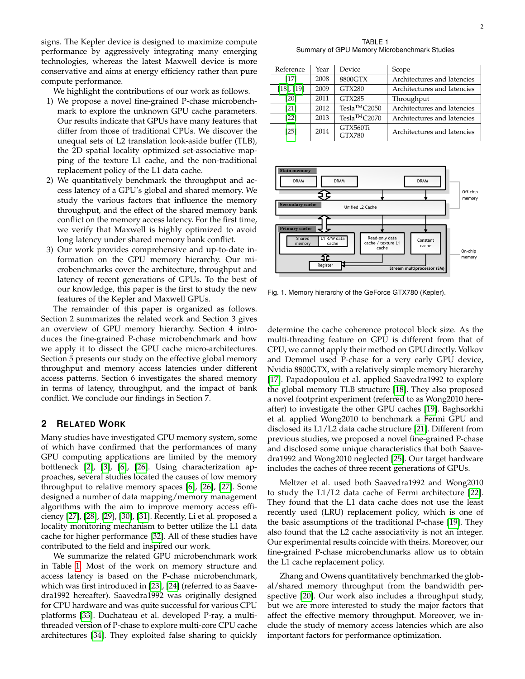signs. The Kepler device is designed to maximize compute performance by aggressively integrating many emerging technologies, whereas the latest Maxwell device is more conservative and aims at energy efficiency rather than pure compute performance.

We highlight the contributions of our work as follows.

- 1) We propose a novel fine-grained P-chase microbenchmark to explore the unknown GPU cache parameters. Our results indicate that GPUs have many features that differ from those of traditional CPUs. We discover the unequal sets of L2 translation look-aside buffer (TLB), the 2D spatial locality optimized set-associative mapping of the texture L1 cache, and the non-traditional replacement policy of the L1 data cache.
- 2) We quantitatively benchmark the throughput and access latency of a GPU's global and shared memory. We study the various factors that influence the memory throughput, and the effect of the shared memory bank conflict on the memory access latency. For the first time, we verify that Maxwell is highly optimized to avoid long latency under shared memory bank conflict.
- 3) Our work provides comprehensive and up-to-date information on the GPU memory hierarchy. Our microbenchmarks cover the architecture, throughput and latency of recent generations of GPUs. To the best of our knowledge, this paper is the first to study the new features of the Kepler and Maxwell GPUs.

The remainder of this paper is organized as follows. Section 2 summarizes the related work and Section 3 gives an overview of GPU memory hierarchy. Section 4 introduces the fine-grained P-chase microbenchmark and how we apply it to dissect the GPU cache micro-architectures. Section 5 presents our study on the effective global memory throughput and memory access latencies under different access patterns. Section 6 investigates the shared memory in terms of latency, throughput, and the impact of bank conflict. We conclude our findings in Section 7.

# **2 RELATED WORK**

Many studies have investigated GPU memory system, some of which have confirmed that the performances of many GPU computing applications are limited by the memory bottleneck [\[2\]](#page-13-1), [\[3\]](#page-13-2), [\[6\]](#page-13-5), [\[26\]](#page-13-25). Using characterization approaches, several studies located the causes of low memory throughput to relative memory spaces [\[6\]](#page-13-5), [\[26\]](#page-13-25), [\[27\]](#page-13-26). Some designed a number of data mapping/memory management algorithms with the aim to improve memory access efficiency [\[27\]](#page-13-26), [\[28\]](#page-13-27), [\[29\]](#page-13-28), [\[30\]](#page-13-29), [\[31\]](#page-13-30). Recently, Li et al. proposed a locality monitoring mechanism to better utilize the L1 data cache for higher performance [\[32\]](#page-13-31). All of these studies have contributed to the field and inspired our work.

We summarize the related GPU microbenchmark work in Table [1.](#page-1-0) Most of the work on memory structure and access latency is based on the P-chase microbenchmark, which was first introduced in [\[23\]](#page-13-22), [\[24\]](#page-13-23) (referred to as Saavedra1992 hereafter). Saavedra1992 was originally designed for CPU hardware and was quite successful for various CPU platforms [\[33\]](#page-13-32). Duchateau et al. developed P-ray, a multithreaded version of P-chase to explore multi-core CPU cache architectures [\[34\]](#page-13-33). They exploited false sharing to quickly

TABLE 1 Summary of GPU Memory Microbenchmark Studies

<span id="page-1-0"></span>

| Reference       | Year | Device                                 | Scope                       |  |
|-----------------|------|----------------------------------------|-----------------------------|--|
| [17]            | 2008 | 8800GTX<br>Architectures and latencies |                             |  |
| $[18]$ , $[19]$ | 2009 | <b>GTX280</b>                          | Architectures and latencies |  |
| [20]            | 2011 | GTX285                                 | Throughput                  |  |
| [21]            | 2012 | Tesla <sup>TM</sup> C2050              | Architectures and latencies |  |
| [22]            | 2013 | Tesla <sup>™</sup> C2070               | Architectures and latencies |  |
| [25]            | 2014 | GTX560Ti<br><b>GTX780</b>              | Architectures and latencies |  |



<span id="page-1-1"></span>Fig. 1. Memory hierarchy of the GeForce GTX780 (Kepler).

determine the cache coherence protocol block size. As the multi-threading feature on GPU is different from that of CPU, we cannot apply their method on GPU directly. Volkov and Demmel used P-chase for a very early GPU device, Nvidia 8800GTX, with a relatively simple memory hierarchy [\[17\]](#page-13-16). Papadopoulou et al. applied Saavedra1992 to explore the global memory TLB structure [\[18\]](#page-13-17). They also proposed a novel footprint experiment (referred to as Wong2010 hereafter) to investigate the other GPU caches [\[19\]](#page-13-18). Baghsorkhi et al. applied Wong2010 to benchmark a Fermi GPU and disclosed its L1/L2 data cache structure [\[21\]](#page-13-20). Different from previous studies, we proposed a novel fine-grained P-chase and disclosed some unique characteristics that both Saavedra1992 and Wong2010 neglected [\[25\]](#page-13-24). Our target hardware includes the caches of three recent generations of GPUs.

Meltzer et al. used both Saavedra1992 and Wong2010 to study the L1/L2 data cache of Fermi architecture [\[22\]](#page-13-21). They found that the L1 data cache does not use the least recently used (LRU) replacement policy, which is one of the basic assumptions of the traditional P-chase [\[19\]](#page-13-18). They also found that the L2 cache associativity is not an integer. Our experimental results coincide with theirs. Moreover, our fine-grained P-chase microbenchmarks allow us to obtain the L1 cache replacement policy.

Zhang and Owens quantitatively benchmarked the global/shared memory throughput from the bandwidth perspective [\[20\]](#page-13-19). Our work also includes a throughput study, but we are more interested to study the major factors that affect the effective memory throughput. Moreover, we include the study of memory access latencies which are also important factors for performance optimization.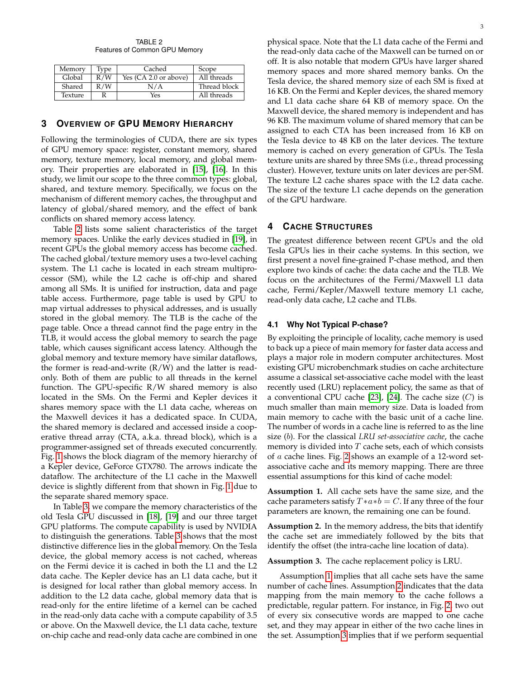TABLE 2 Features of Common GPU Memory

<span id="page-2-0"></span>

| Memory  | Type | Cached                | Scope        |
|---------|------|-----------------------|--------------|
| Global  | R/W  | Yes (CA 2.0 or above) | All threads  |
| Shared  | R/W  | N/A                   | Thread block |
| Texture |      | Yes                   | All threads  |

# **3 OVERVIEW OF GPU MEMORY HIERARCHY**

Following the terminologies of CUDA, there are six types of GPU memory space: register, constant memory, shared memory, texture memory, local memory, and global memory. Their properties are elaborated in [\[15\]](#page-13-14), [\[16\]](#page-13-15). In this study, we limit our scope to the three common types: global, shared, and texture memory. Specifically, we focus on the mechanism of different memory caches, the throughput and latency of global/shared memory, and the effect of bank conflicts on shared memory access latency.

Table [2](#page-2-0) lists some salient characteristics of the target memory spaces. Unlike the early devices studied in [\[19\]](#page-13-18), in recent GPUs the global memory access has become cached. The cached global/texture memory uses a two-level caching system. The L1 cache is located in each stream multiprocessor (SM), while the L2 cache is off-chip and shared among all SMs. It is unified for instruction, data and page table access. Furthermore, page table is used by GPU to map virtual addresses to physical addresses, and is usually stored in the global memory. The TLB is the cache of the page table. Once a thread cannot find the page entry in the TLB, it would access the global memory to search the page table, which causes significant access latency. Although the global memory and texture memory have similar dataflows, the former is read-and-write  $(R/W)$  and the latter is readonly. Both of them are public to all threads in the kernel function. The GPU-specific R/W shared memory is also located in the SMs. On the Fermi and Kepler devices it shares memory space with the L1 data cache, whereas on the Maxwell devices it has a dedicated space. In CUDA, the shared memory is declared and accessed inside a cooperative thread array (CTA, a.k.a. thread block), which is a programmer-assigned set of threads executed concurrently. Fig. [1](#page-1-1) shows the block diagram of the memory hierarchy of a Kepler device, GeForce GTX780. The arrows indicate the dataflow. The architecture of the L1 cache in the Maxwell device is slightly different from that shown in Fig. [1](#page-1-1) due to the separate shared memory space.

In Table [3,](#page-3-0) we compare the memory characteristics of the old Tesla GPU discussed in [\[18\]](#page-13-17), [\[19\]](#page-13-18) and our three target GPU platforms. The compute capability is used by NVIDIA to distinguish the generations. Table [3](#page-3-0) shows that the most distinctive difference lies in the global memory. On the Tesla device, the global memory access is not cached, whereas on the Fermi device it is cached in both the L1 and the L2 data cache. The Kepler device has an L1 data cache, but it is designed for local rather than global memory access. In addition to the L2 data cache, global memory data that is read-only for the entire lifetime of a kernel can be cached in the read-only data cache with a compute capability of 3.5 or above. On the Maxwell device, the L1 data cache, texture on-chip cache and read-only data cache are combined in one

physical space. Note that the L1 data cache of the Fermi and the read-only data cache of the Maxwell can be turned on or off. It is also notable that modern GPUs have larger shared memory spaces and more shared memory banks. On the Tesla device, the shared memory size of each SM is fixed at 16 KB. On the Fermi and Kepler devices, the shared memory and L1 data cache share 64 KB of memory space. On the Maxwell device, the shared memory is independent and has 96 KB. The maximum volume of shared memory that can be assigned to each CTA has been increased from 16 KB on the Tesla device to 48 KB on the later devices. The texture memory is cached on every generation of GPUs. The Tesla texture units are shared by three SMs (i.e., thread processing cluster). However, texture units on later devices are per-SM. The texture L2 cache shares space with the L2 data cache. The size of the texture L1 cache depends on the generation of the GPU hardware.

# **4 CACHE STRUCTURES**

The greatest difference between recent GPUs and the old Tesla GPUs lies in their cache systems. In this section, we first present a novel fine-grained P-chase method, and then explore two kinds of cache: the data cache and the TLB. We focus on the architectures of the Fermi/Maxwell L1 data cache, Fermi/Kepler/Maxwell texture memory L1 cache, read-only data cache, L2 cache and TLBs.

# **4.1 Why Not Typical P-chase?**

By exploiting the principle of locality, cache memory is used to back up a piece of main memory for faster data access and plays a major role in modern computer architectures. Most existing GPU microbenchmark studies on cache architecture assume a classical set-associative cache model with the least recently used (LRU) replacement policy, the same as that of a conventional CPU cache [\[23\]](#page-13-22), [\[24\]](#page-13-23). The cache size  $(C)$  is much smaller than main memory size. Data is loaded from main memory to cache with the basic unit of a cache line. The number of words in a cache line is referred to as the line size (b). For the classical *LRU set-associative cache*, the cache memory is divided into  $T$  cache sets, each of which consists of a cache lines. Fig. [2](#page-3-1) shows an example of a 12-word setassociative cache and its memory mapping. There are three essential assumptions for this kind of cache model:

<span id="page-2-1"></span>**Assumption 1.** All cache sets have the same size, and the cache parameters satisfy  $T*a*b = C$ . If any three of the four parameters are known, the remaining one can be found.

<span id="page-2-2"></span>**Assumption 2.** In the memory address, the bits that identify the cache set are immediately followed by the bits that identify the offset (the intra-cache line location of data).

<span id="page-2-3"></span>**Assumption 3.** The cache replacement policy is LRU.

Assumption [1](#page-2-1) implies that all cache sets have the same number of cache lines. Assumption [2](#page-2-2) indicates that the data mapping from the main memory to the cache follows a predictable, regular pattern. For instance, in Fig. [2,](#page-3-1) two out of every six consecutive words are mapped to one cache set, and they may appear in either of the two cache lines in the set. Assumption [3](#page-2-3) implies that if we perform sequential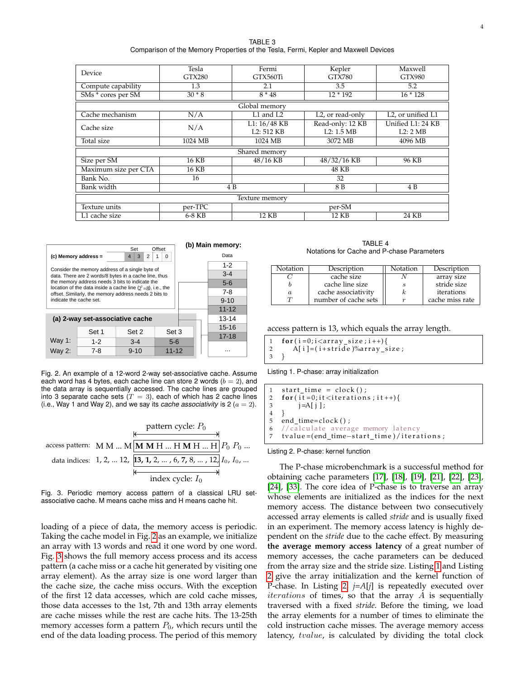TABLE 3 Comparison of the Memory Properties of the Tesla, Fermi, Kepler and Maxwell Devices

<span id="page-3-0"></span>

| Device               | Tesla         | Fermi                   | Kepler                        | Maxwell                        |  |  |  |
|----------------------|---------------|-------------------------|-------------------------------|--------------------------------|--|--|--|
|                      | <b>GTX280</b> | GTX560Ti                |                               | <b>GTX980</b>                  |  |  |  |
| Compute capability   | 1.3           | 2.1                     | 3.5                           | 5.2                            |  |  |  |
| SMs * cores per SM   | $30 * 8$      | $8 * 48$                | $12 * 192$                    | $16 * 128$                     |  |  |  |
| Global memory        |               |                         |                               |                                |  |  |  |
| Cache mechanism      | N/A           | L1 and L2               | L <sub>2</sub> , or read-only | L2, or unified $\overline{L1}$ |  |  |  |
| Cache size           | N/A           | $L1: 16/48$ KB          | Read-only: 12 KB              | Unified L1: 24 KB              |  |  |  |
|                      |               | L <sub>2</sub> : 512 KB | L2: 1.5 MB                    | L2:2MB                         |  |  |  |
| Total size           | 1024 MB       | 1024 MB                 | 3072 MB                       | 4096 MB                        |  |  |  |
|                      |               | Shared memory           |                               |                                |  |  |  |
| Size per SM          | 16 KB         | 48/16 KB                | 48/32/16 KB                   | 96 KB                          |  |  |  |
| Maximum size per CTA | 16 KB         |                         | 48 KB                         |                                |  |  |  |
| Bank No.             | 16            |                         | 32                            |                                |  |  |  |
| Bank width           |               | 8 B<br>4 B<br>4 B       |                               |                                |  |  |  |
| Texture memory       |               |                         |                               |                                |  |  |  |
| Texture units        | per-TPC       |                         | per-SM                        |                                |  |  |  |
| L1 cache size        | 6-8 KB        | 12 KB                   | 12 KB                         | 24 KB                          |  |  |  |

|                      |                                                                                                          |                                                                                                                   | (b) Main memory: |  |           |  |  |
|----------------------|----------------------------------------------------------------------------------------------------------|-------------------------------------------------------------------------------------------------------------------|------------------|--|-----------|--|--|
| (c) Memory address = |                                                                                                          | $\overline{2}$<br>3<br>4                                                                                          | 1<br>0           |  | Data      |  |  |
|                      |                                                                                                          |                                                                                                                   |                  |  | $1 - 2$   |  |  |
|                      | Consider the memory address of a single byte of<br>data. There are 2 words/8 bytes in a cache line, thus |                                                                                                                   |                  |  |           |  |  |
|                      |                                                                                                          | the memory address needs 3 bits to indicate the<br>location of the data inside a cache line $(2^3=8)$ , i.e., the |                  |  | $5-6$     |  |  |
|                      |                                                                                                          | offset. Similarly, the memory address needs 2 bits to                                                             |                  |  | $7-8$     |  |  |
|                      | indicate the cache set.                                                                                  |                                                                                                                   |                  |  |           |  |  |
|                      | $11 - 12$                                                                                                |                                                                                                                   |                  |  |           |  |  |
|                      | (a) 2-way set-associative cache                                                                          |                                                                                                                   |                  |  | $13 - 14$ |  |  |
|                      | Set 1                                                                                                    | Set 2                                                                                                             | Set 3            |  | $15 - 16$ |  |  |
| Way 1:               |                                                                                                          |                                                                                                                   | $17 - 18$        |  |           |  |  |
|                      | $1 - 2$                                                                                                  | $3 - 4$                                                                                                           | $5-6$            |  |           |  |  |
| Way 2:               | $7 - 8$                                                                                                  | $9 - 10$                                                                                                          | $11 - 12$        |  |           |  |  |

<span id="page-3-1"></span>Fig. 2. An example of a 12-word 2-way set-associative cache. Assume each word has 4 bytes, each cache line can store 2 words  $(b = 2)$ , and the data array is sequentially accessed. The cache lines are grouped into 3 separate cache sets ( $T = 3$ ), each of which has 2 cache lines (i.e., Way 1 and Way 2), and we say its *cache associativity* is 2 ( $a = 2$ ).



<span id="page-3-2"></span>Fig. 3. Periodic memory access pattern of a classical LRU setassociative cache. M means cache miss and H means cache hit.

loading of a piece of data, the memory access is periodic. Taking the cache model in Fig. [2](#page-3-1) as an example, we initialize an array with 13 words and read it one word by one word. Fig. [3](#page-3-2) shows the full memory access process and its access pattern (a cache miss or a cache hit generated by visiting one array element). As the array size is one word larger than the cache size, the cache miss occurs. With the exception of the first 12 data accesses, which are cold cache misses, those data accesses to the 1st, 7th and 13th array elements are cache misses while the rest are cache hits. The 13-25th memory accesses form a pattern  $P_0$ , which recurs until the end of the data loading process. The period of this memory

TABLE 4 Notations for Cache and P-chase Parameters

<span id="page-3-5"></span>

| Notation | Description          | Notation | Description     |
|----------|----------------------|----------|-----------------|
|          | cache size           |          | array size      |
|          | cache line size      |          | stride size     |
| $\alpha$ | cache associativity  |          | iterations      |
|          | number of cache sets |          | cache miss rate |

access pattern is 13, which equals the array length.

```
1 for (i=0;i<ar>array_size;i++){<br>2 A[i]=(i+strict)<sup>2</sup>/0array_s
           A[i] = (i + \text{stride})\%array_size;
3 }
```
Listing 1. P-chase: array initialization

<span id="page-3-4"></span> $1$  start\_time = clock(); 2  $for (it=0; it *interations*; it  $+$ ) $$$ 3  $j = A[j];$ 4 } 5 end\_time=clock();  $6$  //calculate average memory latency 7 tvalue = (end\_time-start\_time)/iterations;

Listing 2. P-chase: kernel function

The P-chase microbenchmark is a successful method for obtaining cache parameters [\[17\]](#page-13-16), [\[18\]](#page-13-17), [\[19\]](#page-13-18), [\[21\]](#page-13-20), [\[22\]](#page-13-21), [\[23\]](#page-13-22), [\[24\]](#page-13-23), [\[33\]](#page-13-32). The core idea of P-chase is to traverse an array whose elements are initialized as the indices for the next memory access. The distance between two consecutively accessed array elements is called *stride* and is usually fixed in an experiment. The memory access latency is highly dependent on the *stride* due to the cache effect. By measuring **the average memory access latency** of a great number of memory accesses, the cache parameters can be deduced from the array size and the stride size. Listing [1](#page-3-3) and Listing [2](#page-3-4) give the array initialization and the kernel function of P-chase. In Listing [2,](#page-3-4) *j*=*A*[*j*] is repeatedly executed over  $iterations$  of times, so that the array  $A$  is sequentially traversed with a fixed *stride*. Before the timing, we load the array elements for a number of times to eliminate the cold instruction cache misses. The average memory access latency, tvalue, is calculated by dividing the total clock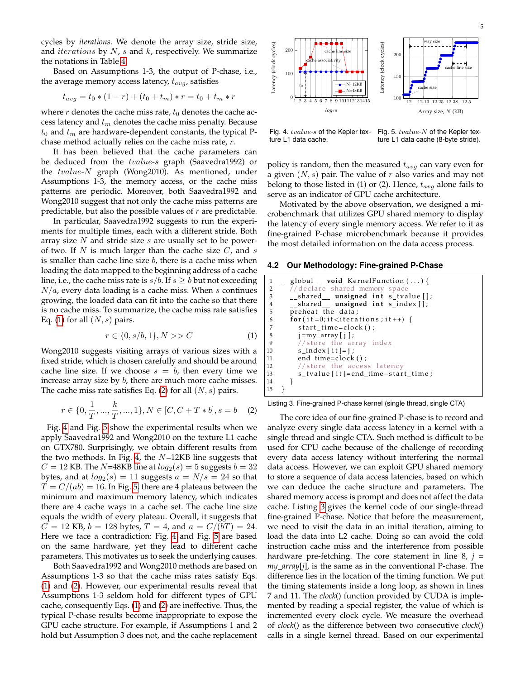cycles by *iterations*. We denote the array size, stride size, and *iterations* by  $N$ ,  $s$  and  $k$ , respectively. We summarize the notations in Table [4.](#page-3-5)

Based on Assumptions 1-3, the output of P-chase, i.e., the average memory access latency,  $t_{avg}$ , satisfies

$$
t_{avg} = t_0 * (1 - r) + (t_0 + t_m) * r = t_0 + t_m * r
$$

where  $r$  denotes the cache miss rate,  $t_0$  denotes the cache access latency and  $t_m$  denotes the cache miss penalty. Because  $t_0$  and  $t_m$  are hardware-dependent constants, the typical Pchase method actually relies on the cache miss rate, r.

It has been believed that the cache parameters can be deduced from the tvalue-s graph (Saavedra1992) or the tvalue-N graph (Wong2010). As mentioned, under Assumptions 1-3, the memory access, or the cache miss patterns are periodic. Moreover, both Saavedra1992 and Wong2010 suggest that not only the cache miss patterns are predictable, but also the possible values of  $r$  are predictable.

In particular, Saavedra1992 suggests to run the experiments for multiple times, each with a different stride. Both array size  $N$  and stride size  $s$  are usually set to be powerof-two. If  $N$  is much larger than the cache size  $C$ , and  $s$ is smaller than cache line size  $b$ , there is a cache miss when loading the data mapped to the beginning address of a cache line, i.e., the cache miss rate is  $s/b$ . If  $s \geq b$  but not exceeding  $N/a$ , every data loading is a cache miss. When s continues growing, the loaded data can fit into the cache so that there is no cache miss. To summarize, the cache miss rate satisfies Eq. [\(1\)](#page-4-0) for all  $(N, s)$  pairs.

<span id="page-4-0"></span>
$$
r \in \{0, s/b, 1\}, N >> C \tag{1}
$$

Wong2010 suggests visiting arrays of various sizes with a fixed stride, which is chosen carefully and should be around cache line size. If we choose  $s = b$ , then every time we increase array size by b, there are much more cache misses. The cache miss rate satisfies Eq. [\(2\)](#page-4-1) for all  $(N, s)$  pairs.

$$
r \in \{0, \frac{1}{T}, ..., \frac{k}{T}, ..., 1\}, N \in [C, C + T * b], s = b \quad (2)
$$

Fig. [4](#page-4-2) and Fig. [5](#page-4-3) show the experimental results when we apply Saavedra1992 and Wong2010 on the texture L1 cache on GTX780. Surprisingly, we obtain different results from the two methods. In Fig. [4,](#page-4-2) the  $N=12KB$  line suggests that  $C = 12$  KB. The N=48KB line at  $log_2(s) = 5$  suggests  $b = 32$ bytes, and at  $log_2(s) = 11$  suggests  $a = N/s = 24$  so that  $T = C/(ab) = 16$ . In Fig. [5,](#page-4-3) there are 4 plateaus between the minimum and maximum memory latency, which indicates there are 4 cache ways in a cache set. The cache line size equals the width of every plateau. Overall, it suggests that  $C = 12$  KB,  $b = 128$  bytes,  $T = 4$ , and  $a = C/(bT) = 24$ . Here we face a contradiction: Fig. [4](#page-4-2) and Fig. [5](#page-4-3) are based on the same hardware, yet they lead to different cache parameters. This motivates us to seek the underlying causes.

Both Saavedra1992 and Wong2010 methods are based on Assumptions 1-3 so that the cache miss rates satisfy Eqs. [\(1\)](#page-4-0) and [\(2\)](#page-4-1). However, our experimental results reveal that Assumptions 1-3 seldom hold for different types of GPU cache, consequently Eqs. [\(1\)](#page-4-0) and [\(2\)](#page-4-1) are ineffective. Thus, the typical P-chase results become inappropriate to expose the GPU cache structure. For example, if Assumptions 1 and 2 hold but Assumption 3 does not, and the cache replacement



<span id="page-4-2"></span>Fig. 4. tvalue-s of the Kepler texture L1 data cache.

<span id="page-4-3"></span>Fig. 5.  $tvalue$ -N of the Kepler texture L1 data cache (8-byte stride).

policy is random, then the measured  $t_{avg}$  can vary even for a given  $(N, s)$  pair. The value of r also varies and may not belong to those listed in (1) or (2). Hence,  $t_{avg}$  alone fails to serve as an indicator of GPU cache architecture.

Motivated by the above observation, we designed a microbenchmark that utilizes GPU shared memory to display the latency of every single memory access. We refer to it as fine-grained P-chase microbenchmark because it provides the most detailed information on the data access process.

### **4.2 Our Methodology: Fine-grained P-Chase**

```
1 __global__ void KernelFunction (...) {
2 //declare shared memory space<br>3 __shared__ unsigned int s_tva
      __shared__ unsigned int s_tvalue [];
4 __shared__ unsigned int s_index [];<br>5 preheat the data;
       preheat the data;
6 for (it = 0; it < iterations; it + +) {
7 start_time=clock();<br>8 j=my_array[j];
         j = my\_array [ j ] ;
9 //store the array index
10 s\_index[i] = j;11 end_time=clock();
12 //store the access latency
13 s_tvalue [ it ]= end_time-start_time ;
14 }
15 }
```
<span id="page-4-1"></span>Listing 3. Fine-grained P-chase kernel (single thread, single CTA)

The core idea of our fine-grained P-chase is to record and analyze every single data access latency in a kernel with a single thread and single CTA. Such method is difficult to be used for CPU cache because of the challenge of recording every data access latency without interfering the normal data access. However, we can exploit GPU shared memory to store a sequence of data access latencies, based on which we can deduce the cache structure and parameters. The shared memory access is prompt and does not affect the data cache. Listing [3](#page-4-4) gives the kernel code of our single-thread fine-grained P-chase. Notice that before the measurement, we need to visit the data in an initial iteration, aiming to load the data into L2 cache. Doing so can avoid the cold instruction cache miss and the interference from possible hardware pre-fetching. The core statement in line 8, *j = my array*[*j*], is the same as in the conventional P-chase. The difference lies in the location of the timing function. We put the timing statements inside a long loop, as shown in lines 7 and 11. The *clock*() function provided by CUDA is implemented by reading a special register, the value of which is incremented every clock cycle. We measure the overhead of *clock*() as the difference between two consecutive *clock*() calls in a single kernel thread. Based on our experimental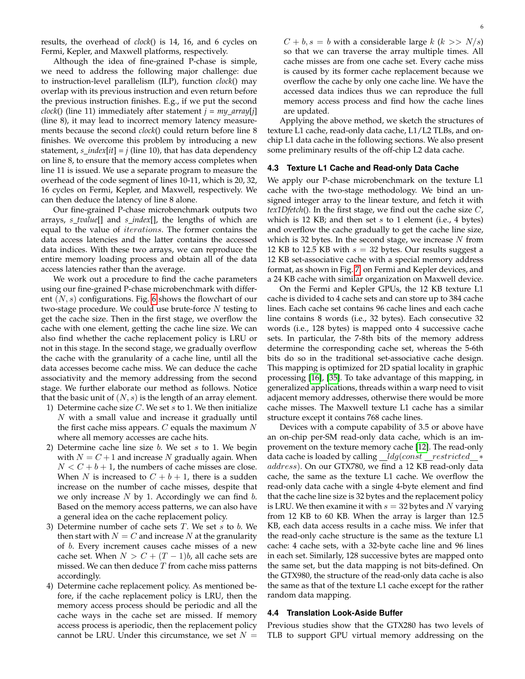results, the overhead of *clock*() is 14, 16, and 6 cycles on Fermi, Kepler, and Maxwell platforms, respectively.

Although the idea of fine-grained P-chase is simple, we need to address the following major challenge: due to instruction-level parallelism (ILP), function *clock*() may overlap with its previous instruction and even return before the previous instruction finishes. E.g., if we put the second *clock*() (line 11) immediately after statement *j = my array*[*j*] (line 8), it may lead to incorrect memory latency measurements because the second *clock*() could return before line 8 finishes. We overcome this problem by introducing a new statement,  $s\_index[i] = j$  (line 10), that has data dependency on line 8, to ensure that the memory access completes when line 11 is issued. We use a separate program to measure the overhead of the code segment of lines 10-11, which is 20, 32, 16 cycles on Fermi, Kepler, and Maxwell, respectively. We can then deduce the latency of line 8 alone.

Our fine-grained P-chase microbenchmark outputs two arrays, *s tvalue*[] and *s index*[], the lengths of which are equal to the value of iterations. The former contains the data access latencies and the latter contains the accessed data indices. With these two arrays, we can reproduce the entire memory loading process and obtain all of the data access latencies rather than the average.

We work out a procedure to find the cache parameters using our fine-grained P-chase microbenchmark with different  $(N, s)$  configurations. Fig. [6](#page-6-0) shows the flowchart of our two-stage procedure. We could use brute-force  $N$  testing to get the cache size. Then in the first stage, we overflow the cache with one element, getting the cache line size. We can also find whether the cache replacement policy is LRU or not in this stage. In the second stage, we gradually overflow the cache with the granularity of a cache line, until all the data accesses become cache miss. We can deduce the cache associativity and the memory addressing from the second stage. We further elaborate our method as follows. Notice that the basic unit of  $(N, s)$  is the length of an array element.

- 1) Determine cache size  $C$ . We set  $s$  to 1. We then initialize  $N$  with a small value and increase it gradually until the first cache miss appears.  $C$  equals the maximum  $N$ where all memory accesses are cache hits.
- 2) Determine cache line size  $b$ . We set  $s$  to 1. We begin with  $N = C + 1$  and increase N gradually again. When  $N < C + b + 1$ , the numbers of cache misses are close. When N is increased to  $C + b + 1$ , there is a sudden increase on the number of cache misses, despite that we only increase  $N$  by 1. Accordingly we can find  $b$ . Based on the memory access patterns, we can also have a general idea on the cache replacement policy.
- 3) Determine number of cache sets  $T$ . We set  $s$  to  $b$ . We then start with  $N = C$  and increase N at the granularity of b. Every increment causes cache misses of a new cache set. When  $N > C + (T - 1)b$ , all cache sets are missed. We can then deduce  $T$  from cache miss patterns accordingly.
- 4) Determine cache replacement policy. As mentioned before, if the cache replacement policy is LRU, then the memory access process should be periodic and all the cache ways in the cache set are missed. If memory access process is aperiodic, then the replacement policy cannot be LRU. Under this circumstance, we set  $N =$

 $C + b$ ,  $s = b$  with a considerable large k ( $k >> N/s$ ) so that we can traverse the array multiple times. All cache misses are from one cache set. Every cache miss is caused by its former cache replacement because we overflow the cache by only one cache line. We have the accessed data indices thus we can reproduce the full memory access process and find how the cache lines are updated.

Applying the above method, we sketch the structures of texture L1 cache, read-only data cache, L1/L2 TLBs, and onchip L1 data cache in the following sections. We also present some preliminary results of the off-chip L2 data cache.

# **4.3 Texture L1 Cache and Read-only Data Cache**

We apply our P-chase microbenchmark on the texture L1 cache with the two-stage methodology. We bind an unsigned integer array to the linear texture, and fetch it with *tex1Dfetch*(). In the first stage, we find out the cache size C, which is 12 KB; and then set  $s$  to 1 element (i.e., 4 bytes) and overflow the cache gradually to get the cache line size, which is 32 bytes. In the second stage, we increase  $N$  from 12 KB to 12.5 KB with  $s = 32$  bytes. Our results suggest a 12 KB set-associative cache with a special memory address format, as shown in Fig. [7,](#page-6-1) on Fermi and Kepler devices, and a 24 KB cache with similar organization on Maxwell device.

On the Fermi and Kepler GPUs, the 12 KB texture L1 cache is divided to 4 cache sets and can store up to 384 cache lines. Each cache set contains 96 cache lines and each cache line contains 8 words (i.e., 32 bytes). Each consecutive 32 words (i.e., 128 bytes) is mapped onto 4 successive cache sets. In particular, the 7-8th bits of the memory address determine the corresponding cache set, whereas the 5-6th bits do so in the traditional set-associative cache design. This mapping is optimized for 2D spatial locality in graphic processing [\[16\]](#page-13-15), [\[35\]](#page-13-34). To take advantage of this mapping, in generalized applications, threads within a warp need to visit adjacent memory addresses, otherwise there would be more cache misses. The Maxwell texture L1 cache has a similar structure except it contains 768 cache lines.

Devices with a compute capability of 3.5 or above have an on-chip per-SM read-only data cache, which is an improvement on the texture memory cache [\[12\]](#page-13-11). The read-only data cache is loaded by calling  $\_\_ldg(const \_\, restricted \_\,*$ address). On our GTX780, we find a 12 KB read-only data cache, the same as the texture L1 cache. We overflow the read-only data cache with a single 4-byte element and find that the cache line size is 32 bytes and the replacement policy is LRU. We then examine it with  $s = 32$  bytes and N varying from 12 KB to 60 KB. When the array is larger than 12.5 KB, each data access results in a cache miss. We infer that the read-only cache structure is the same as the texture L1 cache: 4 cache sets, with a 32-byte cache line and 96 lines in each set. Similarly, 128 successive bytes are mapped onto the same set, but the data mapping is not bits-defined. On the GTX980, the structure of the read-only data cache is also the same as that of the texture L1 cache except for the rather random data mapping.

### **4.4 Translation Look-Aside Buffer**

Previous studies show that the GTX280 has two levels of TLB to support GPU virtual memory addressing on the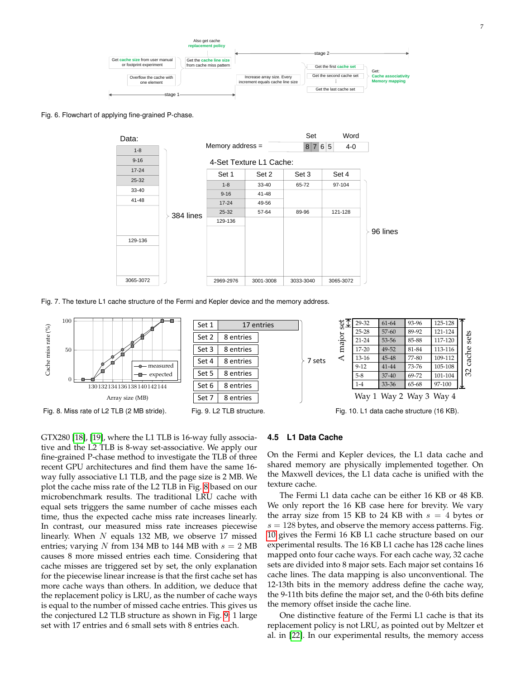

<span id="page-6-0"></span>Fig. 6. Flowchart of applying fine-grained P-chase.



<span id="page-6-1"></span>Fig. 7. The texture L1 cache structure of the Fermi and Kepler device and the memory address.



<span id="page-6-2"></span>GTX280 [\[18\]](#page-13-17), [\[19\]](#page-13-18), where the L1 TLB is 16-way fully associative and the L2 TLB is 8-way set-associative. We apply our fine-grained P-chase method to investigate the TLB of three recent GPU architectures and find them have the same 16 way fully associative L1 TLB, and the page size is 2 MB. We plot the cache miss rate of the L2 TLB in Fig. [8](#page-6-2) based on our microbenchmark results. The traditional LRU cache with equal sets triggers the same number of cache misses each time, thus the expected cache miss rate increases linearly. In contrast, our measured miss rate increases piecewise linearly. When  $N$  equals 132 MB, we observe 17 missed entries; varying N from 134 MB to 144 MB with  $s = 2$  MB causes 8 more missed entries each time. Considering that cache misses are triggered set by set, the only explanation for the piecewise linear increase is that the first cache set has more cache ways than others. In addition, we deduce that the replacement policy is LRU, as the number of cache ways is equal to the number of missed cache entries. This gives us the conjectured L2 TLB structure as shown in Fig. [9:](#page-6-3) 1 large set with 17 entries and 6 small sets with 8 entries each.

### <span id="page-6-4"></span><span id="page-6-3"></span>**4.5 L1 Data Cache**

On the Fermi and Kepler devices, the L1 data cache and shared memory are physically implemented together. On the Maxwell devices, the L1 data cache is unified with the texture cache.

The Fermi L1 data cache can be either 16 KB or 48 KB. We only report the 16 KB case here for brevity. We vary the array size from 15 KB to 24 KB with  $s = 4$  bytes or  $s = 128$  bytes, and observe the memory access patterns. Fig. [10](#page-6-4) gives the Fermi 16 KB L1 cache structure based on our experimental results. The 16 KB L1 cache has 128 cache lines mapped onto four cache ways. For each cache way, 32 cache sets are divided into 8 major sets. Each major set contains 16 cache lines. The data mapping is also unconventional. The 12-13th bits in the memory address define the cache way, the 9-11th bits define the major set, and the 0-6th bits define the memory offset inside the cache line.

One distinctive feature of the Fermi L1 cache is that its replacement policy is not LRU, as pointed out by Meltzer et al. in [\[22\]](#page-13-21). In our experimental results, the memory access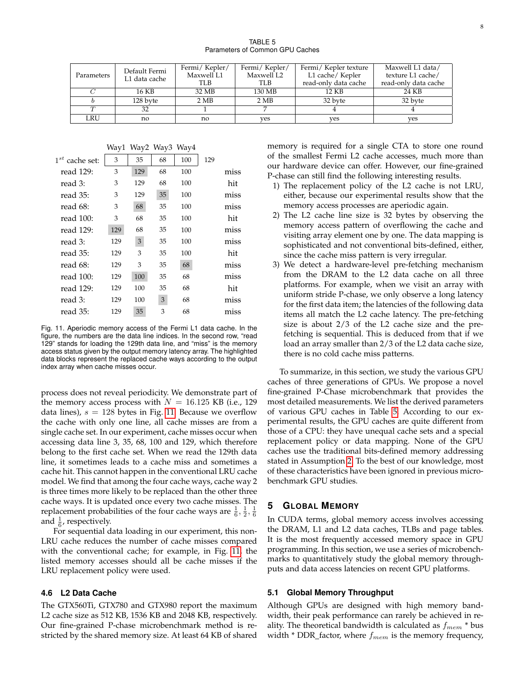<span id="page-7-1"></span>

|            | Default Fermi | Fermi/Kepler/ | Fermi/Kepler/     | Fermi/Kepler texture | Maxwell L1 data/     |
|------------|---------------|---------------|-------------------|----------------------|----------------------|
| Parameters | L1 data cache | Maxwell L1    | Maxwell L2        | L1 cache/ Kepler     | texture L1 cache/    |
|            |               | TLB           | TLB               | read-only data cache | read-only data cache |
|            | 16 KB         | 32 MB         | 130 MB            | 12 KB                | 24 KB                |
|            | 128 byte      | 2 MB          | $2 \overline{MB}$ | 32 byte              | 32 byte              |
| $\tau$     | 32            |               |                   |                      |                      |
| LRU        | no            | no            | ves               | ves                  | ves                  |

|                     |     |     | Way1 Way2 Way3 Way4 |     |     |      |
|---------------------|-----|-----|---------------------|-----|-----|------|
| $1^{st}$ cache set: | 3   | 35  | 68                  | 100 | 129 |      |
| read 129:           | 3   | 129 | 68                  | 100 |     | miss |
| read $3$ :          | 3   | 129 | 68                  | 100 |     | hit  |
| read 35:            | 3   | 129 | 35                  | 100 |     | miss |
| read 68:            | 3   | 68  | 35                  | 100 |     | miss |
| read 100:           | 3   | 68  | 35                  | 100 |     | hit  |
| read 129:           | 129 | 68  | 35                  | 100 |     | miss |
| read 3:             | 129 | 3   | 35                  | 100 |     | miss |
| read $35:$          | 129 | 3   | 35                  | 100 |     | hit  |
| read 68:            | 129 | 3   | 35                  | 68  |     | miss |
| read 100:           | 129 | 100 | 35                  | 68  |     | miss |
| read 129:           | 129 | 100 | 35                  | 68  |     | hit  |
| read 3:             | 129 | 100 | 3                   | 68  |     | miss |
| read 35:            | 129 | 35  | 3                   | 68  |     | miss |

<span id="page-7-0"></span>Fig. 11. Aperiodic memory access of the Fermi L1 data cache. In the figure, the numbers are the data line indices. In the second row, "read 129" stands for loading the 129th data line, and "miss" is the memory access status given by the output memory latency array. The highlighted data blocks represent the replaced cache ways according to the output index array when cache misses occur.

process does not reveal periodicity. We demonstrate part of the memory access process with  $N = 16.125$  KB (i.e., 129) data lines),  $s = 128$  bytes in Fig. [11.](#page-7-0) Because we overflow the cache with only one line, all cache misses are from a single cache set. In our experiment, cache misses occur when accessing data line 3, 35, 68, 100 and 129, which therefore belong to the first cache set. When we read the 129th data line, it sometimes leads to a cache miss and sometimes a cache hit. This cannot happen in the conventional LRU cache model. We find that among the four cache ways, cache way 2 is three times more likely to be replaced than the other three cache ways. It is updated once every two cache misses. The replacement probabilities of the four cache ways are  $\frac{1}{6}$ ,  $\frac{1}{2}$ ,  $\frac{1}{6}$ and  $\frac{1}{6}$ , respectively.

For sequential data loading in our experiment, this non-LRU cache reduces the number of cache misses compared with the conventional cache; for example, in Fig. [11,](#page-7-0) the listed memory accesses should all be cache misses if the LRU replacement policy were used.

# **4.6 L2 Data Cache**

The GTX560Ti, GTX780 and GTX980 report the maximum L2 cache size as 512 KB, 1536 KB and 2048 KB, respectively. Our fine-grained P-chase microbenchmark method is restricted by the shared memory size. At least 64 KB of shared memory is required for a single CTA to store one round of the smallest Fermi L2 cache accesses, much more than our hardware device can offer. However, our fine-grained P-chase can still find the following interesting results.

- 1) The replacement policy of the L2 cache is not LRU, either, because our experimental results show that the memory access processes are aperiodic again.
- 2) The L2 cache line size is 32 bytes by observing the memory access pattern of overflowing the cache and visiting array element one by one. The data mapping is sophisticated and not conventional bits-defined, either, since the cache miss pattern is very irregular.
- 3) We detect a hardware-level pre-fetching mechanism from the DRAM to the L2 data cache on all three platforms. For example, when we visit an array with uniform stride P-chase, we only observe a long latency for the first data item; the latencies of the following data items all match the L2 cache latency. The pre-fetching size is about 2/3 of the L2 cache size and the prefetching is sequential. This is deduced from that if we load an array smaller than 2/3 of the L2 data cache size, there is no cold cache miss patterns.

To summarize, in this section, we study the various GPU caches of three generations of GPUs. We propose a novel fine-grained P-Chase microbenchmark that provides the most detailed measurements. We list the derived parameters of various GPU caches in Table [5.](#page-7-1) According to our experimental results, the GPU caches are quite different from those of a CPU: they have unequal cache sets and a special replacement policy or data mapping. None of the GPU caches use the traditional bits-defined memory addressing stated in Assumption [2.](#page-2-2) To the best of our knowledge, most of these characteristics have been ignored in previous microbenchmark GPU studies.

# **5 GLOBAL MEMORY**

In CUDA terms, global memory access involves accessing the DRAM, L1 and L2 data caches, TLBs and page tables. It is the most frequently accessed memory space in GPU programming. In this section, we use a series of microbenchmarks to quantitatively study the global memory throughputs and data access latencies on recent GPU platforms.

### **5.1 Global Memory Throughput**

Although GPUs are designed with high memory bandwidth, their peak performance can rarely be achieved in reality. The theoretical bandwidth is calculated as  $f_{mem}$  \* bus width  $*$  DDR\_factor, where  $f_{mem}$  is the memory frequency,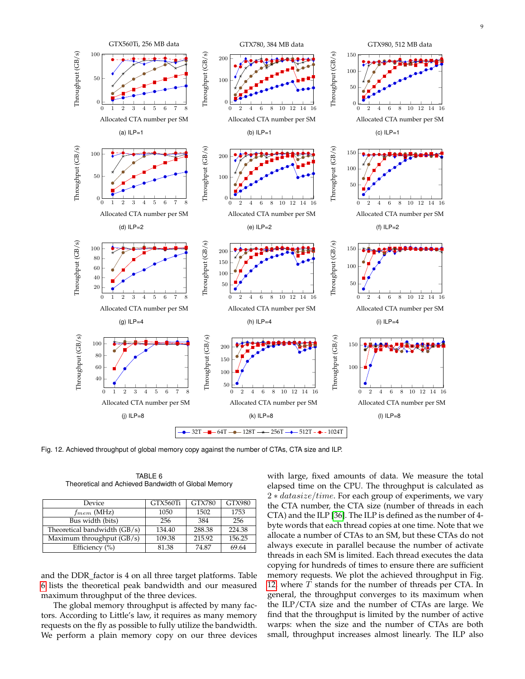

<span id="page-8-1"></span>Fig. 12. Achieved throughput of global memory copy against the number of CTAs, CTA size and ILP.

<span id="page-8-0"></span>

| Device                       | GTX560Ti | <b>GTX780</b> | <b>GTX980</b> |
|------------------------------|----------|---------------|---------------|
| $f_{mem}$ (MHz)              | 1050     | 1502          | 1753          |
| Bus width (bits)             | 256      | 384           | 256           |
| Theoretical bandwidth (GB/s) | 134.40   | 288.38        | 224.38        |
| Maximum throughput (GB/s)    | 109.38   | 215.92        | 156.25        |
| Efficiency $(\% )$           | 81.38    | 74.87         | 69.64         |

TABLE 6 Theoretical and Achieved Bandwidth of Global Memory

and the DDR\_factor is 4 on all three target platforms. Table [6](#page-8-0) lists the theoretical peak bandwidth and our measured maximum throughput of the three devices.

The global memory throughput is affected by many factors. According to Little's law, it requires as many memory requests on the fly as possible to fully utilize the bandwidth. We perform a plain memory copy on our three devices

with large, fixed amounts of data. We measure the total elapsed time on the CPU. The throughput is calculated as 2 \* datasize/time. For each group of experiments, we vary the CTA number, the CTA size (number of threads in each CTA) and the ILP [\[36\]](#page-13-35). The ILP is defined as the number of 4 byte words that each thread copies at one time. Note that we allocate a number of CTAs to an SM, but these CTAs do not always execute in parallel because the number of activate threads in each SM is limited. Each thread executes the data copying for hundreds of times to ensure there are sufficient memory requests. We plot the achieved throughput in Fig. [12,](#page-8-1) where  $\overline{T}$  stands for the number of threads per CTA. In general, the throughput converges to its maximum when the ILP/CTA size and the number of CTAs are large. We find that the throughput is limited by the number of active warps: when the size and the number of CTAs are both small, throughput increases almost linearly. The ILP also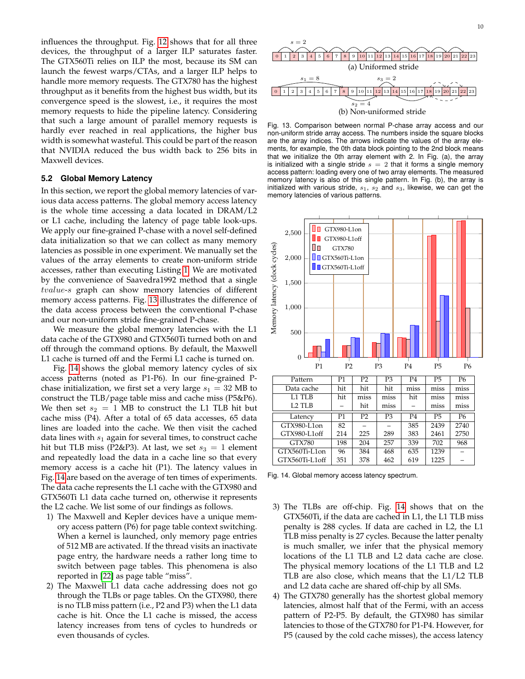influences the throughput. Fig. [12](#page-8-1) shows that for all three devices, the throughput of a larger ILP saturates faster. The GTX560Ti relies on ILP the most, because its SM can launch the fewest warps/CTAs, and a larger ILP helps to handle more memory requests. The GTX780 has the highest throughput as it benefits from the highest bus width, but its convergence speed is the slowest, i.e., it requires the most memory requests to hide the pipeline latency. Considering that such a large amount of parallel memory requests is hardly ever reached in real applications, the higher bus width is somewhat wasteful. This could be part of the reason that NVIDIA reduced the bus width back to 256 bits in Maxwell devices.

### **5.2 Global Memory Latency**

In this section, we report the global memory latencies of various data access patterns. The global memory access latency is the whole time accessing a data located in DRAM/L2 or L1 cache, including the latency of page table look-ups. We apply our fine-grained P-chase with a novel self-defined data initialization so that we can collect as many memory latencies as possible in one experiment. We manually set the values of the array elements to create non-uniform stride accesses, rather than executing Listing [1.](#page-3-3) We are motivated by the convenience of Saavedra1992 method that a single tvalue-s graph can show memory latencies of different memory access patterns. Fig. [13](#page-9-0) illustrates the difference of the data access process between the conventional P-chase and our non-uniform stride fine-grained P-chase.

We measure the global memory latencies with the L1 data cache of the GTX980 and GTX560Ti turned both on and off through the command options. By default, the Maxwell L1 cache is turned off and the Fermi L1 cache is turned on.

Fig. [14](#page-9-1) shows the global memory latency cycles of six access patterns (noted as P1-P6). In our fine-grained Pchase initialization, we first set a very large  $s_1 = 32 \text{ MB}$  to construct the TLB/page table miss and cache miss (P5&P6). We then set  $s_2 = 1$  MB to construct the L1 TLB hit but cache miss (P4). After a total of 65 data accesses, 65 data lines are loaded into the cache. We then visit the cached data lines with  $s_1$  again for several times, to construct cache hit but TLB miss (P2&P3). At last, we set  $s_3 = 1$  element and repeatedly load the data in a cache line so that every memory access is a cache hit (P1). The latency values in Fig. [14](#page-9-1) are based on the average of ten times of experiments. The data cache represents the L1 cache with the GTX980 and GTX560Ti L1 data cache turned on, otherwise it represents the L2 cache. We list some of our findings as follows.

- 1) The Maxwell and Kepler devices have a unique memory access pattern (P6) for page table context switching. When a kernel is launched, only memory page entries of 512 MB are activated. If the thread visits an inactivate page entry, the hardware needs a rather long time to switch between page tables. This phenomena is also reported in [\[22\]](#page-13-21) as page table "miss".
- 2) The Maxwell L1 data cache addressing does not go through the TLBs or page tables. On the GTX980, there is no TLB miss pattern (i.e., P2 and P3) when the L1 data cache is hit. Once the L1 cache is missed, the access latency increases from tens of cycles to hundreds or even thousands of cycles.



<span id="page-9-0"></span>Fig. 13. Comparison between normal P-chase array access and our non-uniform stride array access. The numbers inside the square blocks are the array indices. The arrows indicate the values of the array elements, for example, the 0th data block pointing to the 2nd block means that we initialize the 0th array element with 2. In Fig. (a), the array is initialized with a single stride  $s = 2$  that it forms a single memory access pattern: loading every one of two array elements. The measured memory latency is also of this single pattern. In Fig. (b), the array is initialized with various stride,  $s_1$ ,  $s_2$  and  $s_3$ , likewise, we can get the memory latencies of various patterns.



<span id="page-9-1"></span>Fig. 14. Global memory access latency spectrum.

- 3) The TLBs are off-chip. Fig. [14](#page-9-1) shows that on the GTX560Ti, if the data are cached in L1, the L1 TLB miss penalty is 288 cycles. If data are cached in L2, the L1 TLB miss penalty is 27 cycles. Because the latter penalty is much smaller, we infer that the physical memory locations of the L1 TLB and L2 data cache are close. The physical memory locations of the L1 TLB and L2 TLB are also close, which means that the L1/L2 TLB and L2 data cache are shared off-chip by all SMs.
- 4) The GTX780 generally has the shortest global memory latencies, almost half that of the Fermi, with an access pattern of P2-P5. By default, the GTX980 has similar latencies to those of the GTX780 for P1-P4. However, for P5 (caused by the cold cache misses), the access latency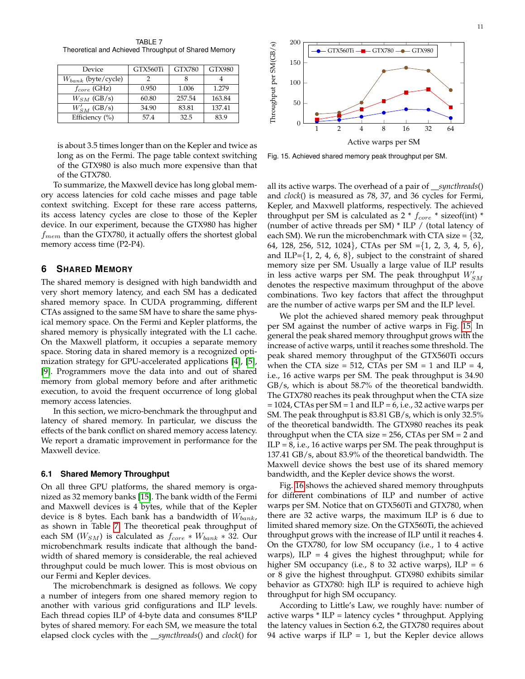<span id="page-10-0"></span>TABLE 7 Theoretical and Achieved Throughput of Shared Memory

| Device                  | GTX560Ti | <b>GTX780</b> | <b>GTX980</b> |
|-------------------------|----------|---------------|---------------|
| $W_{bank}$ (byte/cycle) |          |               |               |
| $f_{core}$ (GHz)        | 0.950    | 1.006         | 1.279         |
| $W_{SM}$ (GB/s)         | 60.80    | 257.54        | 163.84        |
| $W'_{SM}$ (GB/s)        | 34.90    | 83.81         | 137.41        |
| Efficiency (%)          | 57.4     | 32.5          | 83.9          |

is about 3.5 times longer than on the Kepler and twice as long as on the Fermi. The page table context switching of the GTX980 is also much more expensive than that of the GTX780.

To summarize, the Maxwell device has long global memory access latencies for cold cache misses and page table context switching. Except for these rare access patterns, its access latency cycles are close to those of the Kepler device. In our experiment, because the GTX980 has higher  $f_{mem}$  than the GTX780, it actually offers the shortest global memory access time (P2-P4).

# **6 SHARED MEMORY**

The shared memory is designed with high bandwidth and very short memory latency, and each SM has a dedicated shared memory space. In CUDA programming, different CTAs assigned to the same SM have to share the same physical memory space. On the Fermi and Kepler platforms, the shared memory is physically integrated with the L1 cache. On the Maxwell platform, it occupies a separate memory space. Storing data in shared memory is a recognized optimization strategy for GPU-accelerated applications [\[4\]](#page-13-3), [\[5\]](#page-13-4), [\[9\]](#page-13-8). Programmers move the data into and out of shared memory from global memory before and after arithmetic execution, to avoid the frequent occurrence of long global memory access latencies.

In this section, we micro-benchmark the throughput and latency of shared memory. In particular, we discuss the effects of the bank conflict on shared memory access latency. We report a dramatic improvement in performance for the Maxwell device.

### **6.1 Shared Memory Throughput**

On all three GPU platforms, the shared memory is organized as 32 memory banks [\[15\]](#page-13-14). The bank width of the Fermi and Maxwell devices is 4 bytes, while that of the Kepler device is 8 bytes. Each bank has a bandwidth of  $W_{bank}$ , as shown in Table [7.](#page-10-0) The theoretical peak throughput of each SM ( $W_{SM}$ ) is calculated as  $f_{core} * W_{bank} * 32$ . Our microbenchmark results indicate that although the bandwidth of shared memory is considerable, the real achieved throughput could be much lower. This is most obvious on our Fermi and Kepler devices.

The microbenchmark is designed as follows. We copy a number of integers from one shared memory region to another with various grid configurations and ILP levels. Each thread copies ILP of 4-byte data and consumes 8\*ILP bytes of shared memory. For each SM, we measure the total elapsed clock cycles with the *syncthreads*() and *clock*() for



<span id="page-10-1"></span>Fig. 15. Achieved shared memory peak throughput per SM.

all its active warps. The overhead of a pair of *\_\_syncthreads*() and *clock*() is measured as 78, 37, and 36 cycles for Fermi, Kepler, and Maxwell platforms, respectively. The achieved throughput per SM is calculated as  $2 * f_{core} *$  sizeof(int)  $*$ (number of active threads per SM) \* ILP / (total latency of each SM). We run the microbenchmark with CTA size =  $\{32,$ 64, 128, 256, 512, 1024}, CTAs per SM ={1, 2, 3, 4, 5, 6}, and ILP= $\{1, 2, 4, 6, 8\}$ , subject to the constraint of shared memory size per SM. Usually a large value of ILP results in less active warps per SM. The peak throughput  $W'_{SM}$ denotes the respective maximum throughput of the above combinations. Two key factors that affect the throughput are the number of active warps per SM and the ILP level.

We plot the achieved shared memory peak throughput per SM against the number of active warps in Fig. [15.](#page-10-1) In general the peak shared memory throughput grows with the increase of active warps, until it reaches some threshold. The peak shared memory throughput of the GTX560Ti occurs when the CTA size = 512, CTAs per SM = 1 and ILP = 4, i.e., 16 active warps per SM. The peak throughput is 34.90 GB/s, which is about 58.7% of the theoretical bandwidth. The GTX780 reaches its peak throughput when the CTA size  $= 1024$ , CTAs per SM  $= 1$  and ILP  $= 6$ , i.e., 32 active warps per SM. The peak throughput is 83.81 GB/s, which is only 32.5% of the theoretical bandwidth. The GTX980 reaches its peak throughput when the CTA size  $= 256$ , CTAs per SM  $= 2$  and  $ILP = 8$ , i.e., 16 active warps per SM. The peak throughput is 137.41 GB/s, about 83.9% of the theoretical bandwidth. The Maxwell device shows the best use of its shared memory bandwidth, and the Kepler device shows the worst.

Fig. [16](#page-11-0) shows the achieved shared memory throughputs for different combinations of ILP and number of active warps per SM. Notice that on GTX560Ti and GTX780, when there are 32 active warps, the maximum ILP is 6 due to limited shared memory size. On the GTX560Ti, the achieved throughput grows with the increase of ILP until it reaches 4. On the GTX780, for low SM occupancy (i.e., 1 to 4 active warps), ILP = 4 gives the highest throughput; while for higher SM occupancy (i.e., 8 to 32 active warps),  $ILP = 6$ or 8 give the highest throughput. GTX980 exhibits similar behavior as GTX780: high ILP is required to achieve high throughput for high SM occupancy.

According to Little's Law, we roughly have: number of active warps  $*$  ILP = latency cycles  $*$  throughput. Applying the latency values in Section 6.2, the GTX780 requires about 94 active warps if  $ILP = 1$ , but the Kepler device allows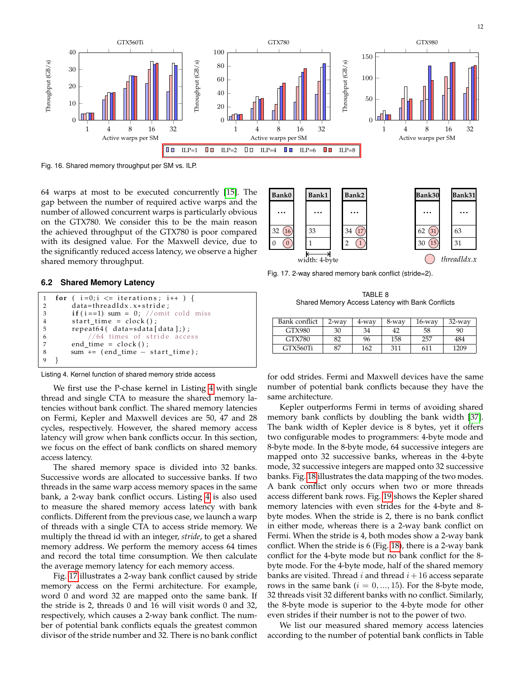

<span id="page-11-1"></span><span id="page-11-0"></span>Fig. 16. Shared memory throughput per SM vs. ILP.

64 warps at most to be executed concurrently [\[15\]](#page-13-14). The gap between the number of required active warps and the number of allowed concurrent warps is particularly obvious on the GTX780. We consider this to be the main reason the achieved throughput of the GTX780 is poor compared with its designed value. For the Maxwell device, due to the significantly reduced access latency, we observe a higher shared memory throughput.



### **6.2 Shared Memory Latency**

```
1 for (i=0;i \leq i iterations; i++ ) {<br>2 data=threadIdx.x*stride:
         data= thread Idx. x* stride;
3 if (i = 1) sum = 0; //omit cold miss<br>4 start time = clock():
         start_time = clock ();
5 repeat64(data=sdata[data];);
6 //64 \text{ times of stride access}<br>7 end time = clock():
         end_time = clock ();
8 sum += (end_time – start_time);
9 }
```


Listing 4. Kernel function of shared memory stride access

We first use the P-chase kernel in Listing [4](#page-11-2) with single thread and single CTA to measure the shared memory latencies without bank conflict. The shared memory latencies on Fermi, Kepler and Maxwell devices are 50, 47 and 28 cycles, respectively. However, the shared memory access latency will grow when bank conflicts occur. In this section, we focus on the effect of bank conflicts on shared memory access latency.

The shared memory space is divided into 32 banks. Successive words are allocated to successive banks. If two threads in the same warp access memory spaces in the same bank, a 2-way bank conflict occurs. Listing [4](#page-11-2) is also used to measure the shared memory access latency with bank conflicts. Different from the previous case, we launch a warp of threads with a single CTA to access stride memory. We multiply the thread id with an integer, *stride*, to get a shared memory address. We perform the memory access 64 times and record the total time consumption. We then calculate the average memory latency for each memory access.

Fig. [17](#page-11-3) illustrates a 2-way bank conflict caused by stride memory access on the Fermi architecture. For example, word 0 and word 32 are mapped onto the same bank. If the stride is 2, threads 0 and 16 will visit words 0 and 32, respectively, which causes a 2-way bank conflict. The number of potential bank conflicts equals the greatest common divisor of the stride number and 32. There is no bank conflict

Fig. 17. 2-way shared memory bank conflict (stride=2).

<span id="page-11-3"></span>TABLE 8 Shared Memory Access Latency with Bank Conflicts

<span id="page-11-4"></span>

| Bank conflict | 2-way | 4-way | 8-way | $16$ -way | $32$ -way |
|---------------|-------|-------|-------|-----------|-----------|
| GTX980        | 30    | 34    | 42    | 58        | 90        |
| GTX780        | 82    | 96    | 158   | 257       | 484       |
| GTX560Ti      | 87    | 162   | 311   | 611       | 1209      |

for odd strides. Fermi and Maxwell devices have the same number of potential bank conflicts because they have the same architecture.

Kepler outperforms Fermi in terms of avoiding shared memory bank conflicts by doubling the bank width [\[37\]](#page-13-36). The bank width of Kepler device is 8 bytes, yet it offers two configurable modes to programmers: 4-byte mode and 8-byte mode. In the 8-byte mode, 64 successive integers are mapped onto 32 successive banks, whereas in the 4-byte mode, 32 successive integers are mapped onto 32 successive banks. Fig. [18](#page-12-0) illustrates the data mapping of the two modes. A bank conflict only occurs when two or more threads access different bank rows. Fig. [19](#page-12-1) shows the Kepler shared memory latencies with even strides for the 4-byte and 8 byte modes. When the stride is 2, there is no bank conflict in either mode, whereas there is a 2-way bank conflict on Fermi. When the stride is 4, both modes show a 2-way bank conflict. When the stride is 6 (Fig. [18\)](#page-12-0), there is a 2-way bank conflict for the 4-byte mode but no bank conflict for the 8 byte mode. For the 4-byte mode, half of the shared memory banks are visited. Thread  $i$  and thread  $i+16$  access separate rows in the same bank  $(i = 0, ..., 15)$ . For the 8-byte mode, 32 threads visit 32 different banks with no conflict. Similarly, the 8-byte mode is superior to the 4-byte mode for other even strides if their number is not to the power of two.

We list our measured shared memory access latencies according to the number of potential bank conflicts in Table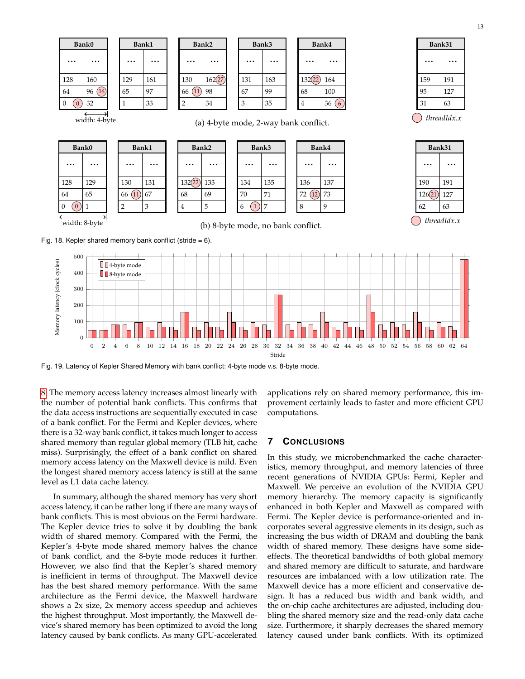

<span id="page-12-1"></span>Stride

Fig. 19. Latency of Kepler Shared Memory with bank conflict: 4-byte mode v.s. 8-byte mode.

[8.](#page-11-4) The memory access latency increases almost linearly with the number of potential bank conflicts. This confirms that the data access instructions are sequentially executed in case of a bank conflict. For the Fermi and Kepler devices, where there is a 32-way bank conflict, it takes much longer to access shared memory than regular global memory (TLB hit, cache miss). Surprisingly, the effect of a bank conflict on shared memory access latency on the Maxwell device is mild. Even the longest shared memory access latency is still at the same level as L1 data cache latency.

In summary, although the shared memory has very short access latency, it can be rather long if there are many ways of bank conflicts. This is most obvious on the Fermi hardware. The Kepler device tries to solve it by doubling the bank width of shared memory. Compared with the Fermi, the Kepler's 4-byte mode shared memory halves the chance of bank conflict, and the 8-byte mode reduces it further. However, we also find that the Kepler's shared memory is inefficient in terms of throughput. The Maxwell device has the best shared memory performance. With the same architecture as the Fermi device, the Maxwell hardware shows a 2x size, 2x memory access speedup and achieves the highest throughput. Most importantly, the Maxwell device's shared memory has been optimized to avoid the long latency caused by bank conflicts. As many GPU-accelerated

applications rely on shared memory performance, this improvement certainly leads to faster and more efficient GPU computations.

# **7 CONCLUSIONS**

<span id="page-12-0"></span>0 2 4 6 8 10 12 14 16 18 20 22 24 26 28 30 32 34 36 38 40 42 44 46 48 50 52 54 56 58 60 62 64

In this study, we microbenchmarked the cache characteristics, memory throughput, and memory latencies of three recent generations of NVIDIA GPUs: Fermi, Kepler and Maxwell. We perceive an evolution of the NVIDIA GPU memory hierarchy. The memory capacity is significantly enhanced in both Kepler and Maxwell as compared with Fermi. The Kepler device is performance-oriented and incorporates several aggressive elements in its design, such as increasing the bus width of DRAM and doubling the bank width of shared memory. These designs have some sideeffects. The theoretical bandwidths of both global memory and shared memory are difficult to saturate, and hardware resources are imbalanced with a low utilization rate. The Maxwell device has a more efficient and conservative design. It has a reduced bus width and bank width, and the on-chip cache architectures are adjusted, including doubling the shared memory size and the read-only data cache size. Furthermore, it sharply decreases the shared memory latency caused under bank conflicts. With its optimized